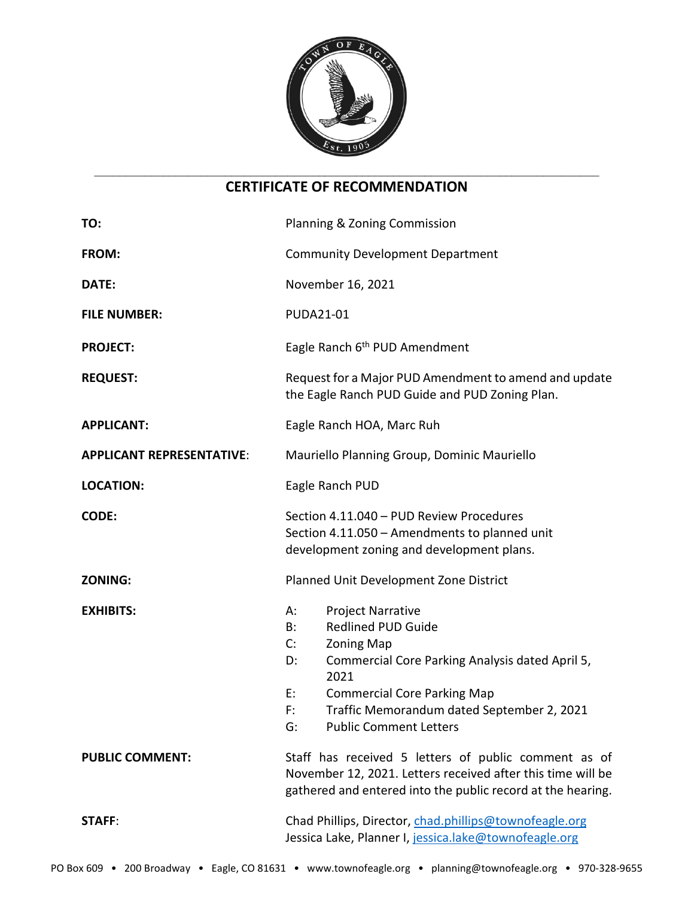

# **CERTIFICATE OF RECOMMENDATION**

| TO:                              | Planning & Zoning Commission                                                                                                                                                                                                                                                                         |
|----------------------------------|------------------------------------------------------------------------------------------------------------------------------------------------------------------------------------------------------------------------------------------------------------------------------------------------------|
| FROM:                            | <b>Community Development Department</b>                                                                                                                                                                                                                                                              |
| DATE:                            | November 16, 2021                                                                                                                                                                                                                                                                                    |
| <b>FILE NUMBER:</b>              | <b>PUDA21-01</b>                                                                                                                                                                                                                                                                                     |
| <b>PROJECT:</b>                  | Eagle Ranch 6 <sup>th</sup> PUD Amendment                                                                                                                                                                                                                                                            |
| <b>REQUEST:</b>                  | Request for a Major PUD Amendment to amend and update<br>the Eagle Ranch PUD Guide and PUD Zoning Plan.                                                                                                                                                                                              |
| <b>APPLICANT:</b>                | Eagle Ranch HOA, Marc Ruh                                                                                                                                                                                                                                                                            |
| <b>APPLICANT REPRESENTATIVE:</b> | Mauriello Planning Group, Dominic Mauriello                                                                                                                                                                                                                                                          |
| <b>LOCATION:</b>                 | Eagle Ranch PUD                                                                                                                                                                                                                                                                                      |
| <b>CODE:</b>                     | Section 4.11.040 - PUD Review Procedures<br>Section 4.11.050 - Amendments to planned unit<br>development zoning and development plans.                                                                                                                                                               |
| <b>ZONING:</b>                   | Planned Unit Development Zone District                                                                                                                                                                                                                                                               |
| <b>EXHIBITS:</b>                 | <b>Project Narrative</b><br>А:<br><b>Redlined PUD Guide</b><br>B:<br>C:<br><b>Zoning Map</b><br>Commercial Core Parking Analysis dated April 5,<br>D:<br>2021<br><b>Commercial Core Parking Map</b><br>E:<br>Traffic Memorandum dated September 2, 2021<br>F:<br>G:<br><b>Public Comment Letters</b> |
| <b>PUBLIC COMMENT:</b>           | Staff has received 5 letters of public comment as of<br>November 12, 2021. Letters received after this time will be<br>gathered and entered into the public record at the hearing.                                                                                                                   |
| <b>STAFF:</b>                    | Chad Phillips, Director, chad.phillips@townofeagle.org<br>Jessica Lake, Planner I, jessica.lake@townofeagle.org                                                                                                                                                                                      |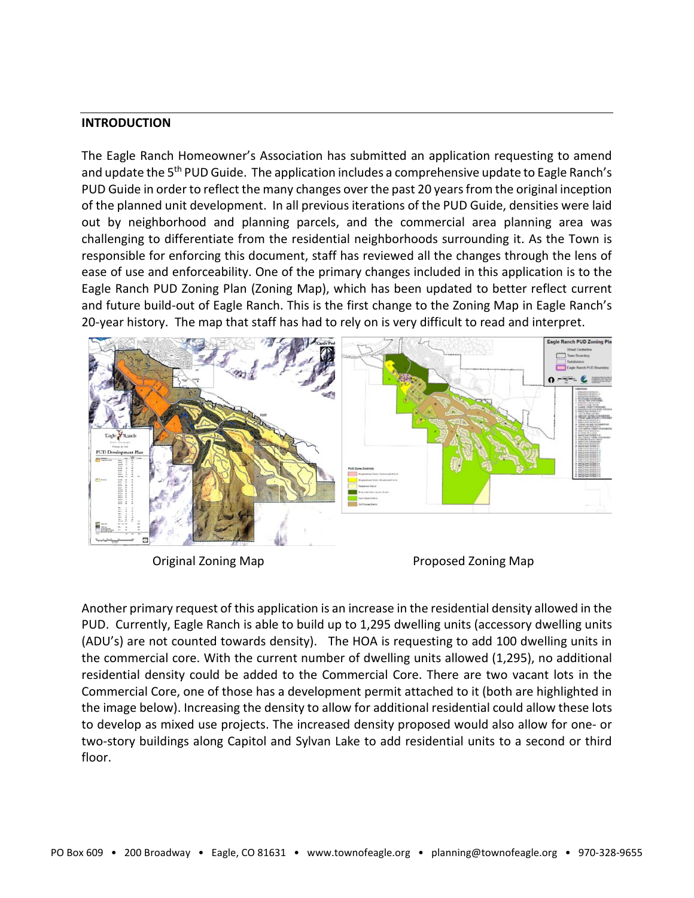#### **INTRODUCTION**

The Eagle Ranch Homeowner's Association has submitted an application requesting to amend and update the 5<sup>th</sup> PUD Guide. The application includes a comprehensive update to Eagle Ranch's PUD Guide in order to reflect the many changes over the past 20 years from the original inception of the planned unit development. In all previous iterations of the PUD Guide, densities were laid out by neighborhood and planning parcels, and the commercial area planning area was challenging to differentiate from the residential neighborhoods surrounding it. As the Town is responsible for enforcing this document, staff has reviewed all the changes through the lens of ease of use and enforceability. One of the primary changes included in this application is to the Eagle Ranch PUD Zoning Plan (Zoning Map), which has been updated to better reflect current and future build-out of Eagle Ranch. This is the first change to the Zoning Map in Eagle Ranch's 20-year history. The map that staff has had to rely on is very difficult to read and interpret.



Original Zoning Map **Proposed Zoning Map** 

Another primary request of this application is an increase in the residential density allowed in the PUD. Currently, Eagle Ranch is able to build up to 1,295 dwelling units (accessory dwelling units (ADU's) are not counted towards density). The HOA is requesting to add 100 dwelling units in the commercial core. With the current number of dwelling units allowed (1,295), no additional residential density could be added to the Commercial Core. There are two vacant lots in the Commercial Core, one of those has a development permit attached to it (both are highlighted in the image below). Increasing the density to allow for additional residential could allow these lots to develop as mixed use projects. The increased density proposed would also allow for one- or two-story buildings along Capitol and Sylvan Lake to add residential units to a second or third floor.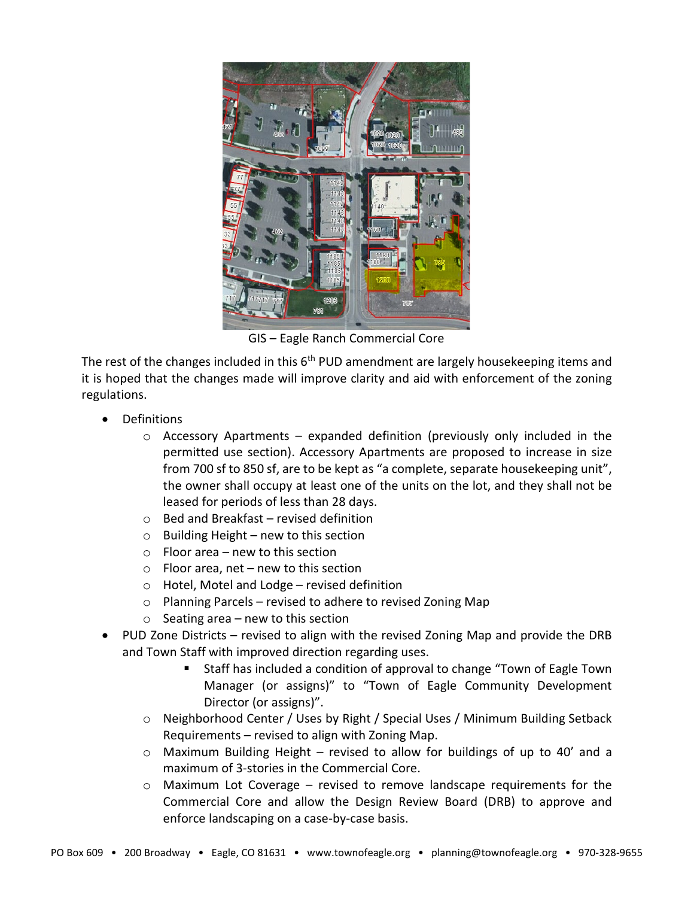

GIS – Eagle Ranch Commercial Core

The rest of the changes included in this  $6<sup>th</sup>$  PUD amendment are largely housekeeping items and it is hoped that the changes made will improve clarity and aid with enforcement of the zoning regulations.

- Definitions
	- $\circ$  Accessory Apartments expanded definition (previously only included in the permitted use section). Accessory Apartments are proposed to increase in size from 700 sf to 850 sf, are to be kept as "a complete, separate housekeeping unit", the owner shall occupy at least one of the units on the lot, and they shall not be leased for periods of less than 28 days.
	- o Bed and Breakfast revised definition
	- $\circ$  Building Height new to this section
	- o Floor area new to this section
	- $\circ$  Floor area, net new to this section
	- o Hotel, Motel and Lodge revised definition
	- o Planning Parcels revised to adhere to revised Zoning Map
	- $\circ$  Seating area new to this section
- PUD Zone Districts revised to align with the revised Zoning Map and provide the DRB and Town Staff with improved direction regarding uses.
	- Staff has included a condition of approval to change "Town of Eagle Town Manager (or assigns)" to "Town of Eagle Community Development Director (or assigns)".
	- o Neighborhood Center / Uses by Right / Special Uses / Minimum Building Setback Requirements – revised to align with Zoning Map.
	- o Maximum Building Height revised to allow for buildings of up to 40' and a maximum of 3-stories in the Commercial Core.
	- o Maximum Lot Coverage revised to remove landscape requirements for the Commercial Core and allow the Design Review Board (DRB) to approve and enforce landscaping on a case-by-case basis.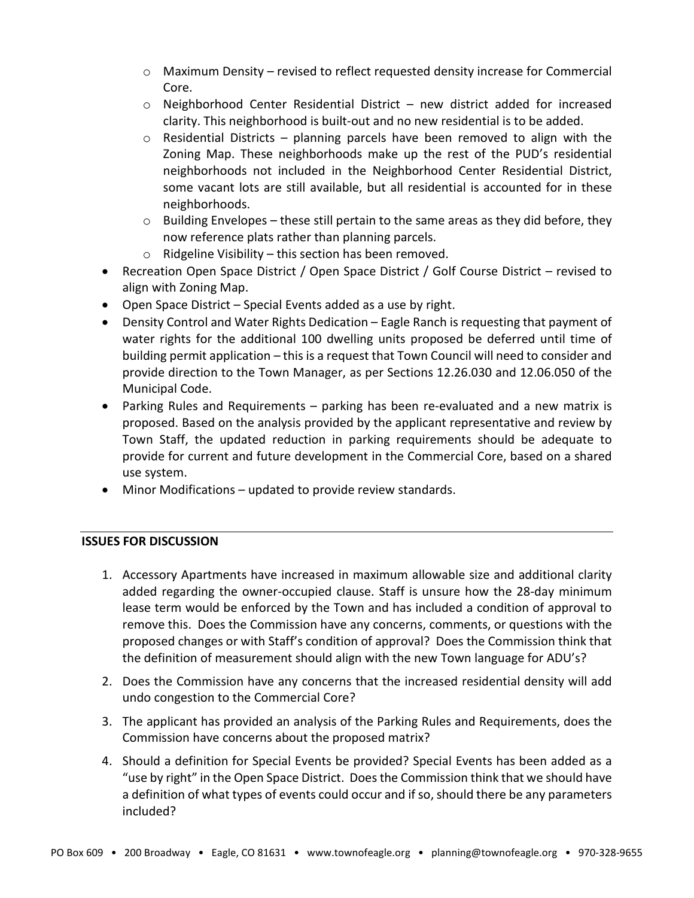- $\circ$  Maximum Density revised to reflect requested density increase for Commercial Core.
- $\circ$  Neighborhood Center Residential District new district added for increased clarity. This neighborhood is built-out and no new residential is to be added.
- $\circ$  Residential Districts planning parcels have been removed to align with the Zoning Map. These neighborhoods make up the rest of the PUD's residential neighborhoods not included in the Neighborhood Center Residential District, some vacant lots are still available, but all residential is accounted for in these neighborhoods.
- $\circ$  Building Envelopes these still pertain to the same areas as they did before, they now reference plats rather than planning parcels.
- $\circ$  Ridgeline Visibility this section has been removed.
- Recreation Open Space District / Open Space District / Golf Course District revised to align with Zoning Map.
- Open Space District Special Events added as a use by right.
- Density Control and Water Rights Dedication Eagle Ranch is requesting that payment of water rights for the additional 100 dwelling units proposed be deferred until time of building permit application – this is a request that Town Council will need to consider and provide direction to the Town Manager, as per Sections 12.26.030 and 12.06.050 of the Municipal Code.
- Parking Rules and Requirements parking has been re-evaluated and a new matrix is proposed. Based on the analysis provided by the applicant representative and review by Town Staff, the updated reduction in parking requirements should be adequate to provide for current and future development in the Commercial Core, based on a shared use system.
- Minor Modifications updated to provide review standards.

## **ISSUES FOR DISCUSSION**

- 1. Accessory Apartments have increased in maximum allowable size and additional clarity added regarding the owner-occupied clause. Staff is unsure how the 28-day minimum lease term would be enforced by the Town and has included a condition of approval to remove this. Does the Commission have any concerns, comments, or questions with the proposed changes or with Staff's condition of approval? Does the Commission think that the definition of measurement should align with the new Town language for ADU's?
- 2. Does the Commission have any concerns that the increased residential density will add undo congestion to the Commercial Core?
- 3. The applicant has provided an analysis of the Parking Rules and Requirements, does the Commission have concerns about the proposed matrix?
- 4. Should a definition for Special Events be provided? Special Events has been added as a "use by right" in the Open Space District. Does the Commission think that we should have a definition of what types of events could occur and if so, should there be any parameters included?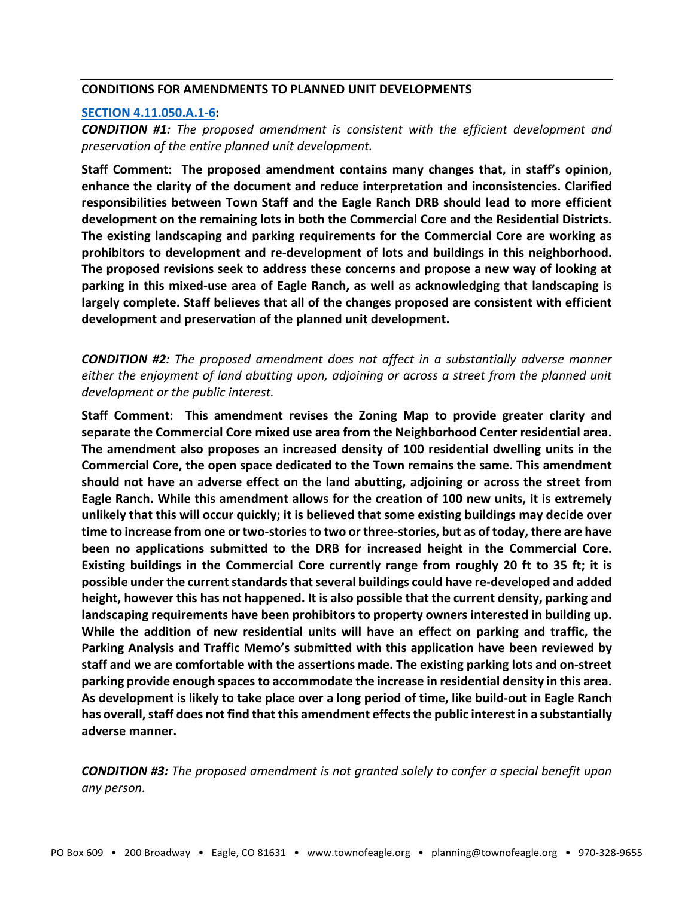#### **CONDITIONS FOR AMENDMENTS TO PLANNED UNIT DEVELOPMENTS**

#### **[SECTION 4.11.050.A.1-6:](https://library.municode.com/co/eagle/codes/code_of_ordinances?nodeId=COOR_TIT4LAUSDECO_CH4.11PLUNDE_S4.11.050AMPLUNDEZODEPL)**

*CONDITION #1: The proposed amendment is consistent with the efficient development and preservation of the entire planned unit development.*

**Staff Comment: The proposed amendment contains many changes that, in staff's opinion, enhance the clarity of the document and reduce interpretation and inconsistencies. Clarified responsibilities between Town Staff and the Eagle Ranch DRB should lead to more efficient development on the remaining lots in both the Commercial Core and the Residential Districts. The existing landscaping and parking requirements for the Commercial Core are working as prohibitors to development and re-development of lots and buildings in this neighborhood. The proposed revisions seek to address these concerns and propose a new way of looking at parking in this mixed-use area of Eagle Ranch, as well as acknowledging that landscaping is largely complete. Staff believes that all of the changes proposed are consistent with efficient development and preservation of the planned unit development.**

*CONDITION #2: The proposed amendment does not affect in a substantially adverse manner either the enjoyment of land abutting upon, adjoining or across a street from the planned unit development or the public interest.*

**Staff Comment: This amendment revises the Zoning Map to provide greater clarity and separate the Commercial Core mixed use area from the Neighborhood Center residential area. The amendment also proposes an increased density of 100 residential dwelling units in the Commercial Core, the open space dedicated to the Town remains the same. This amendment should not have an adverse effect on the land abutting, adjoining or across the street from Eagle Ranch. While this amendment allows for the creation of 100 new units, it is extremely unlikely that this will occur quickly; it is believed that some existing buildings may decide over time to increase from one or two-stories to two or three-stories, but as of today, there are have been no applications submitted to the DRB for increased height in the Commercial Core. Existing buildings in the Commercial Core currently range from roughly 20 ft to 35 ft; it is possible under the current standards that several buildings could have re-developed and added height, however this has not happened. It is also possible that the current density, parking and landscaping requirements have been prohibitors to property owners interested in building up. While the addition of new residential units will have an effect on parking and traffic, the Parking Analysis and Traffic Memo's submitted with this application have been reviewed by staff and we are comfortable with the assertions made. The existing parking lots and on-street parking provide enough spaces to accommodate the increase in residential density in this area. As development is likely to take place over a long period of time, like build-out in Eagle Ranch has overall, staff does not find that this amendment effects the public interest in a substantially adverse manner.** 

*CONDITION #3: The proposed amendment is not granted solely to confer a special benefit upon any person.*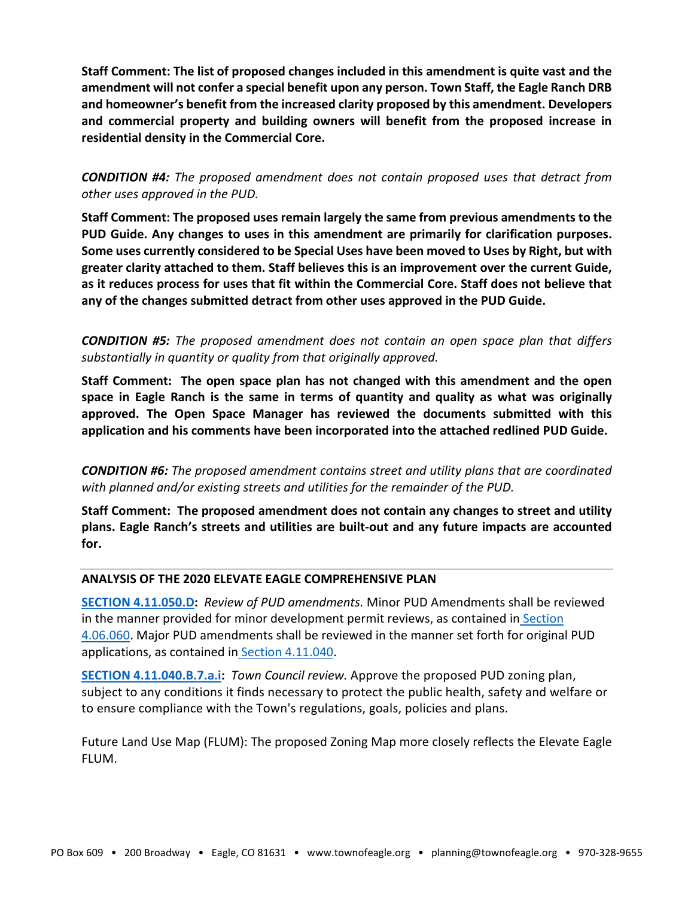**Staff Comment: The list of proposed changes included in this amendment is quite vast and the amendment will not confer a special benefit upon any person. Town Staff, the Eagle Ranch DRB and homeowner's benefit from the increased clarity proposed by this amendment. Developers and commercial property and building owners will benefit from the proposed increase in residential density in the Commercial Core.**

*CONDITION #4: The proposed amendment does not contain proposed uses that detract from other uses approved in the PUD.*

**Staff Comment: The proposed uses remain largely the same from previous amendments to the PUD Guide. Any changes to uses in this amendment are primarily for clarification purposes. Some uses currently considered to be Special Uses have been moved to Uses by Right, but with greater clarity attached to them. Staff believes this is an improvement over the current Guide, as it reduces process for uses that fit within the Commercial Core. Staff does not believe that any of the changes submitted detract from other uses approved in the PUD Guide.**

*CONDITION #5: The proposed amendment does not contain an open space plan that differs substantially in quantity or quality from that originally approved.*

**Staff Comment: The open space plan has not changed with this amendment and the open space in Eagle Ranch is the same in terms of quantity and quality as what was originally approved. The Open Space Manager has reviewed the documents submitted with this application and his comments have been incorporated into the attached redlined PUD Guide.**

*CONDITION #6: The proposed amendment contains street and utility plans that are coordinated with planned and/or existing streets and utilities for the remainder of the PUD.*

**Staff Comment: The proposed amendment does not contain any changes to street and utility plans. Eagle Ranch's streets and utilities are built-out and any future impacts are accounted for.**

#### **ANALYSIS OF THE 2020 ELEVATE EAGLE COMPREHENSIVE PLAN**

**[SECTION 4.11.050.D:](https://library.municode.com/co/eagle/codes/code_of_ordinances?nodeId=COOR_TIT4LAUSDECO_CH4.11PLUNDE_S4.11.050AMPLUNDEZODEPL)** *Review of PUD amendments.* Minor PUD Amendments shall be reviewed in the manner provided for minor development permit reviews, as contained in [Section](https://library.municode.com/co/eagle/codes/code_of_ordinances?nodeId=COOR_TIT4LAUSDECO_CH4.06DERE_S4.06.060MIDERE)  [4.06.060.](https://library.municode.com/co/eagle/codes/code_of_ordinances?nodeId=COOR_TIT4LAUSDECO_CH4.06DERE_S4.06.060MIDERE) Major PUD amendments shall be reviewed in the manner set forth for original PUD applications, as contained in [Section 4.11.040.](https://library.municode.com/co/eagle/codes/code_of_ordinances?nodeId=COOR_TIT4LAUSDECO_CH4.11PLUNDE_S4.11.040PUREPR)

**[SECTION 4.11.040.B.7.a.i:](https://library.municode.com/co/eagle/codes/code_of_ordinances?nodeId=COOR_TIT4LAUSDECO_CH4.11PLUNDE_S4.11.040PUREPR)** *Town Council review.* Approve the proposed PUD zoning plan, subject to any conditions it finds necessary to protect the public health, safety and welfare or to ensure compliance with the Town's regulations, goals, policies and plans.

Future Land Use Map (FLUM): The proposed Zoning Map more closely reflects the Elevate Eagle FLUM.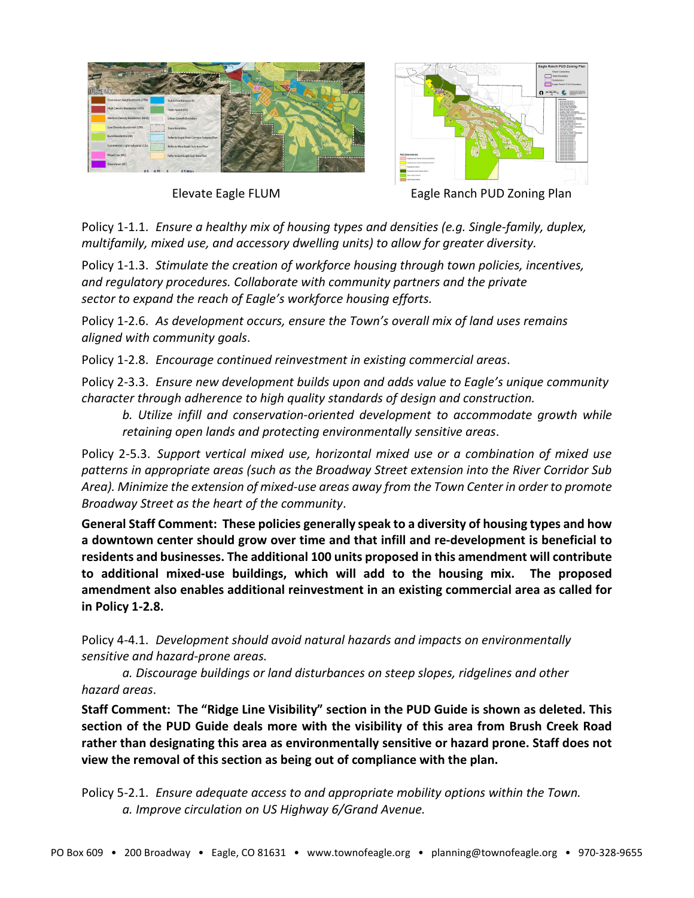



Elevate Eagle FLUM Eagle Ranch PUD Zoning Plan

Policy 1-1.1. *Ensure a healthy mix of housing types and densities (e.g. Single-family, duplex, multifamily, mixed use, and accessory dwelling units) to allow for greater diversity.*

Policy 1-1.3. *Stimulate the creation of workforce housing through town policies, incentives, and regulatory procedures. Collaborate with community partners and the private sector to expand the reach of Eagle's workforce housing efforts.*

Policy 1-2.6. *As development occurs, ensure the Town's overall mix of land uses remains aligned with community goals*.

Policy 1-2.8. *Encourage continued reinvestment in existing commercial areas*.

Policy 2-3.3. *Ensure new development builds upon and adds value to Eagle's unique community character through adherence to high quality standards of design and construction.* 

*b. Utilize infill and conservation-oriented development to accommodate growth while retaining open lands and protecting environmentally sensitive areas*.

Policy 2-5.3. *Support vertical mixed use, horizontal mixed use or a combination of mixed use patterns in appropriate areas (such as the Broadway Street extension into the River Corridor Sub Area). Minimize the extension of mixed-use areas away from the Town Center in order to promote Broadway Street as the heart of the community*.

**General Staff Comment: These policies generally speak to a diversity of housing types and how a downtown center should grow over time and that infill and re-development is beneficial to residents and businesses. The additional 100 units proposed in this amendment will contribute to additional mixed-use buildings, which will add to the housing mix. The proposed amendment also enables additional reinvestment in an existing commercial area as called for in Policy 1-2.8.** 

Policy 4-4.1. *Development should avoid natural hazards and impacts on environmentally sensitive and hazard-prone areas.*

*a. Discourage buildings or land disturbances on steep slopes, ridgelines and other hazard areas*.

**Staff Comment: The "Ridge Line Visibility" section in the PUD Guide is shown as deleted. This section of the PUD Guide deals more with the visibility of this area from Brush Creek Road rather than designating this area as environmentally sensitive or hazard prone. Staff does not view the removal of this section as being out of compliance with the plan.**

Policy 5-2.1. *Ensure adequate access to and appropriate mobility options within the Town. a. Improve circulation on US Highway 6/Grand Avenue.*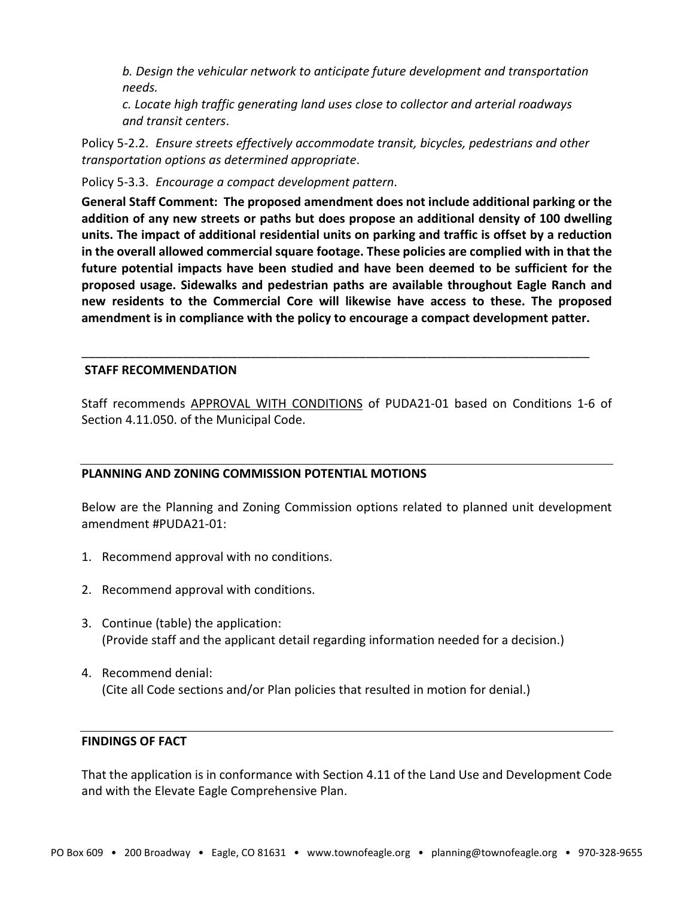*b. Design the vehicular network to anticipate future development and transportation needs.*

*c. Locate high traffic generating land uses close to collector and arterial roadways and transit centers*.

Policy 5-2.2. *Ensure streets effectively accommodate transit, bicycles, pedestrians and other transportation options as determined appropriate*.

Policy 5-3.3. *Encourage a compact development pattern*.

**General Staff Comment: The proposed amendment does not include additional parking or the addition of any new streets or paths but does propose an additional density of 100 dwelling units. The impact of additional residential units on parking and traffic is offset by a reduction in the overall allowed commercial square footage. These policies are complied with in that the future potential impacts have been studied and have been deemed to be sufficient for the proposed usage. Sidewalks and pedestrian paths are available throughout Eagle Ranch and new residents to the Commercial Core will likewise have access to these. The proposed amendment is in compliance with the policy to encourage a compact development patter.**

## **STAFF RECOMMENDATION**

Staff recommends APPROVAL WITH CONDITIONS of PUDA21-01 based on Conditions 1-6 of Section 4.11.050. of the Municipal Code.

\_\_\_\_\_\_\_\_\_\_\_\_\_\_\_\_\_\_\_\_\_\_\_\_\_\_\_\_\_\_\_\_\_\_\_\_\_\_\_\_\_\_\_\_\_\_\_\_\_\_\_\_\_\_\_\_\_\_\_\_\_\_\_\_\_\_\_\_\_\_\_\_\_\_\_

## **PLANNING AND ZONING COMMISSION POTENTIAL MOTIONS**

Below are the Planning and Zoning Commission options related to planned unit development amendment #PUDA21-01:

- 1. Recommend approval with no conditions.
- 2. Recommend approval with conditions.
- 3. Continue (table) the application: (Provide staff and the applicant detail regarding information needed for a decision.)
- 4. Recommend denial: (Cite all Code sections and/or Plan policies that resulted in motion for denial.)

#### **FINDINGS OF FACT**

That the application is in conformance with Section 4.11 of the Land Use and Development Code and with the Elevate Eagle Comprehensive Plan.